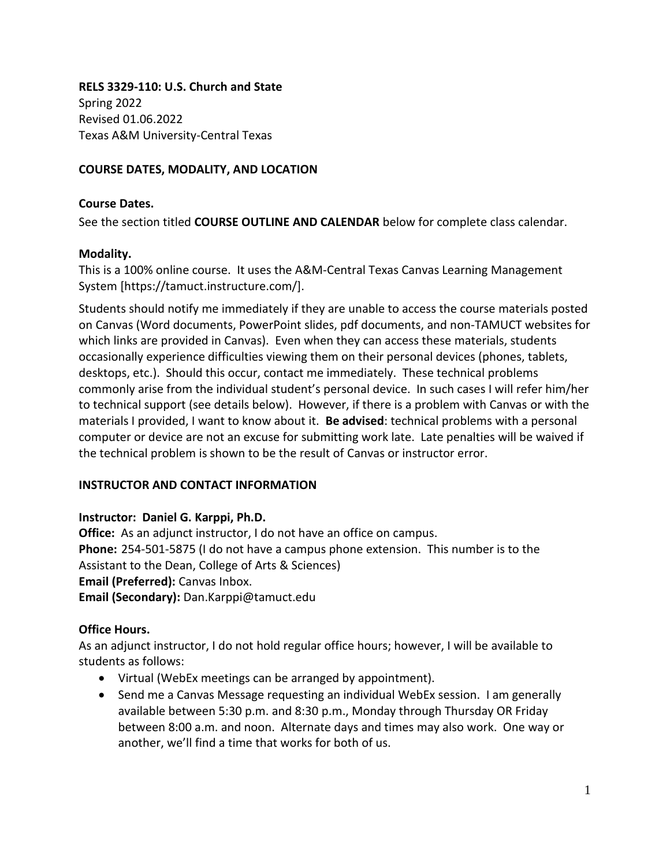**RELS 3329-110: U.S. Church and State**  Spring 2022 Revised 01.06.2022 Texas A&M University-Central Texas

## **COURSE DATES, MODALITY, AND LOCATION**

#### **Course Dates.**

See the section titled **COURSE OUTLINE AND CALENDAR** below for complete class calendar.

#### **Modality.**

This is a 100% online course. It uses the A&M-Central Texas Canvas Learning Management System [https://tamuct.instructure.com/].

Students should notify me immediately if they are unable to access the course materials posted on Canvas (Word documents, PowerPoint slides, pdf documents, and non-TAMUCT websites for which links are provided in Canvas). Even when they can access these materials, students occasionally experience difficulties viewing them on their personal devices (phones, tablets, desktops, etc.). Should this occur, contact me immediately. These technical problems commonly arise from the individual student's personal device. In such cases I will refer him/her to technical support (see details below). However, if there is a problem with Canvas or with the materials I provided, I want to know about it. **Be advised**: technical problems with a personal computer or device are not an excuse for submitting work late. Late penalties will be waived if the technical problem is shown to be the result of Canvas or instructor error.

#### **INSTRUCTOR AND CONTACT INFORMATION**

#### **Instructor: Daniel G. Karppi, Ph.D.**

**Office:** As an adjunct instructor, I do not have an office on campus. **Phone:** 254-501-5875 (I do not have a campus phone extension. This number is to the Assistant to the Dean, College of Arts & Sciences) **Email (Preferred):** Canvas Inbox. **Email (Secondary):** Dan.Karppi@tamuct.edu

#### **Office Hours.**

As an adjunct instructor, I do not hold regular office hours; however, I will be available to students as follows:

- Virtual (WebEx meetings can be arranged by appointment).
- Send me a Canvas Message requesting an individual WebEx session. I am generally available between 5:30 p.m. and 8:30 p.m., Monday through Thursday OR Friday between 8:00 a.m. and noon. Alternate days and times may also work. One way or another, we'll find a time that works for both of us.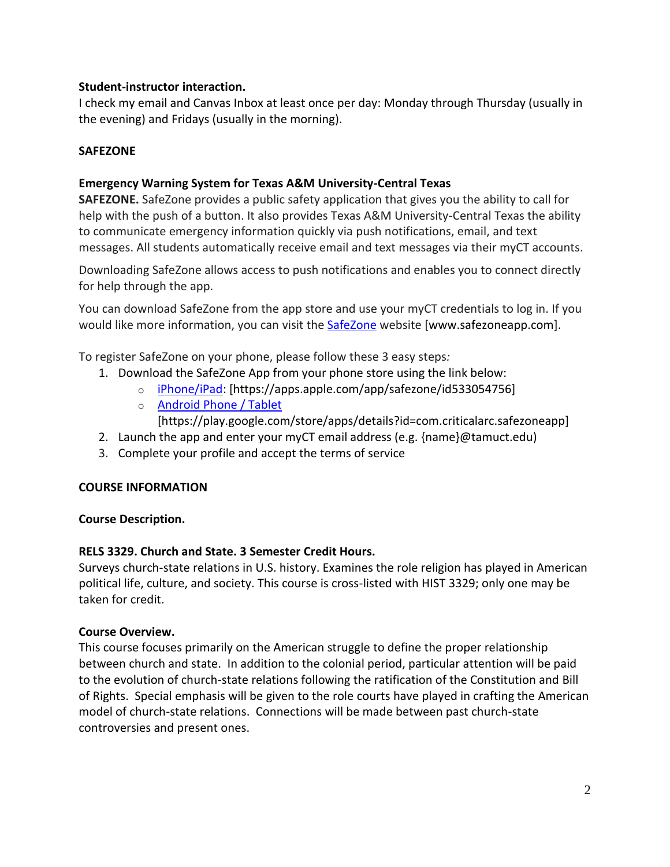## **Student-instructor interaction.**

I check my email and Canvas Inbox at least once per day: Monday through Thursday (usually in the evening) and Fridays (usually in the morning).

#### **SAFEZONE**

## **Emergency Warning System for Texas A&M University-Central Texas**

**SAFEZONE.** SafeZone provides a public safety application that gives you the ability to call for help with the push of a button. It also provides Texas A&M University-Central Texas the ability to communicate emergency information quickly via push notifications, email, and text messages. All students automatically receive email and text messages via their myCT accounts.

Downloading SafeZone allows access to push notifications and enables you to connect directly for help through the app.

You can download SafeZone from the app store and use your myCT credentials to log in. If you would like more information, you can visit the **[SafeZone](http://www.safezoneapp.com/)** website [www.safezoneapp.com].

To register SafeZone on your phone, please follow these 3 easy steps*:*

- 1. Download the SafeZone App from your phone store using the link below:
	- o [iPhone/iPad:](https://apps.apple.com/app/safezone/id533054756) [https://apps.apple.com/app/safezone/id533054756]
		- o [Android Phone / Tablet](https://play.google.com/store/apps/details?id=com.criticalarc.safezoneapp)

[https://play.google.com/store/apps/details?id=com.criticalarc.safezoneapp]

- 2. Launch the app and enter your myCT email address (e.g. {name}@tamuct.edu)
- 3. Complete your profile and accept the terms of service

#### **COURSE INFORMATION**

#### **Course Description.**

#### **RELS 3329. Church and State. 3 Semester Credit Hours.**

Surveys church-state relations in U.S. history. Examines the role religion has played in American political life, culture, and society. This course is cross-listed with HIST 3329; only one may be taken for credit.

#### **Course Overview.**

This course focuses primarily on the American struggle to define the proper relationship between church and state. In addition to the colonial period, particular attention will be paid to the evolution of church-state relations following the ratification of the Constitution and Bill of Rights. Special emphasis will be given to the role courts have played in crafting the American model of church-state relations. Connections will be made between past church-state controversies and present ones.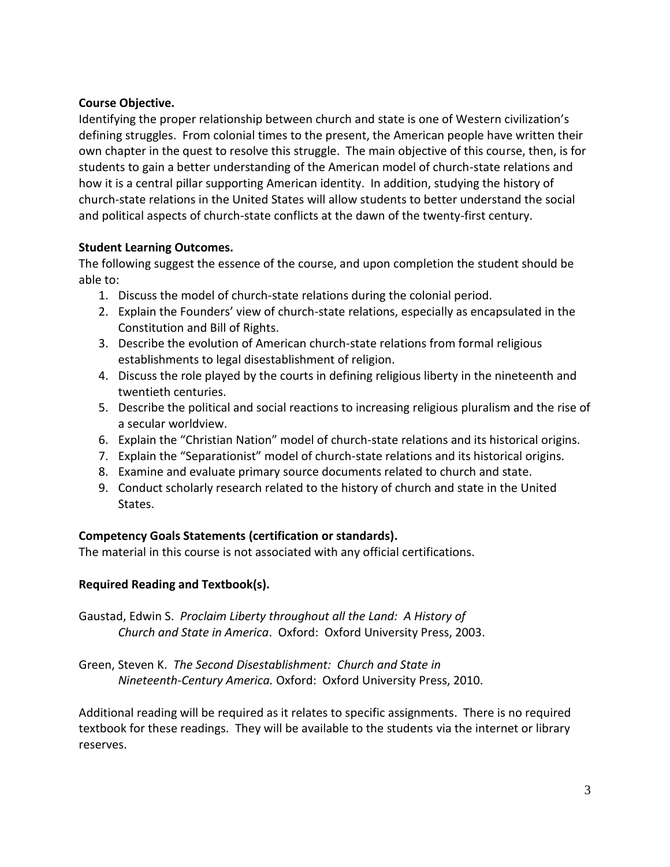## **Course Objective.**

Identifying the proper relationship between church and state is one of Western civilization's defining struggles. From colonial times to the present, the American people have written their own chapter in the quest to resolve this struggle. The main objective of this course, then, is for students to gain a better understanding of the American model of church-state relations and how it is a central pillar supporting American identity. In addition, studying the history of church-state relations in the United States will allow students to better understand the social and political aspects of church-state conflicts at the dawn of the twenty-first century.

# **Student Learning Outcomes.**

The following suggest the essence of the course, and upon completion the student should be able to:

- 1. Discuss the model of church-state relations during the colonial period.
- 2. Explain the Founders' view of church-state relations, especially as encapsulated in the Constitution and Bill of Rights.
- 3. Describe the evolution of American church-state relations from formal religious establishments to legal disestablishment of religion.
- 4. Discuss the role played by the courts in defining religious liberty in the nineteenth and twentieth centuries.
- 5. Describe the political and social reactions to increasing religious pluralism and the rise of a secular worldview.
- 6. Explain the "Christian Nation" model of church-state relations and its historical origins.
- 7. Explain the "Separationist" model of church-state relations and its historical origins.
- 8. Examine and evaluate primary source documents related to church and state.
- 9. Conduct scholarly research related to the history of church and state in the United States.

# **Competency Goals Statements (certification or standards).**

The material in this course is not associated with any official certifications.

# **Required Reading and Textbook(s).**

Gaustad, Edwin S. *Proclaim Liberty throughout all the Land: A History of Church and State in America*. Oxford: Oxford University Press, 2003.

Green, Steven K. *The Second Disestablishment: Church and State in Nineteenth-Century America.* Oxford: Oxford University Press, 2010.

Additional reading will be required as it relates to specific assignments. There is no required textbook for these readings. They will be available to the students via the internet or library reserves.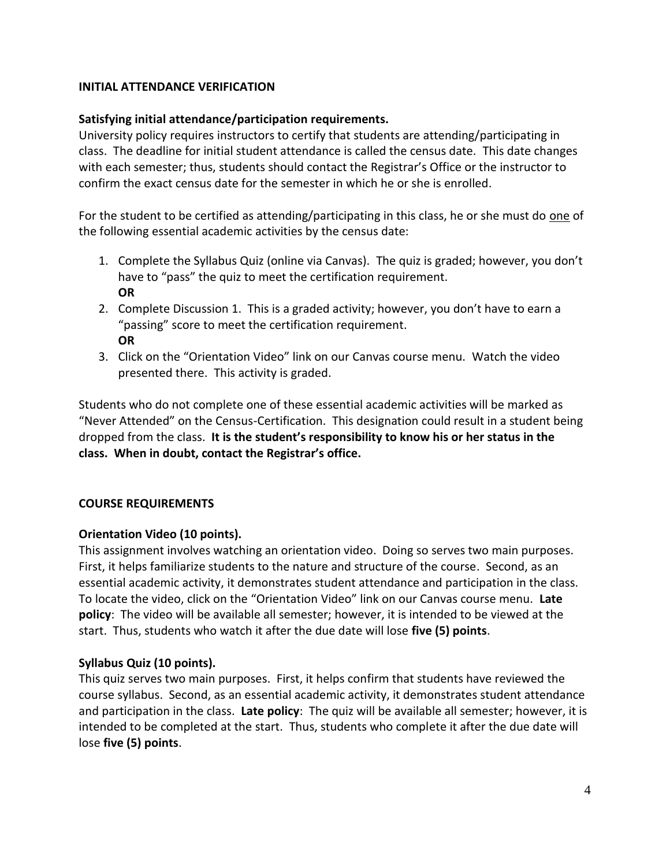## **INITIAL ATTENDANCE VERIFICATION**

#### **Satisfying initial attendance/participation requirements.**

University policy requires instructors to certify that students are attending/participating in class. The deadline for initial student attendance is called the census date. This date changes with each semester; thus, students should contact the Registrar's Office or the instructor to confirm the exact census date for the semester in which he or she is enrolled.

For the student to be certified as attending/participating in this class, he or she must do one of the following essential academic activities by the census date:

- 1. Complete the Syllabus Quiz (online via Canvas). The quiz is graded; however, you don't have to "pass" the quiz to meet the certification requirement. **OR**
- 2. Complete Discussion 1. This is a graded activity; however, you don't have to earn a "passing" score to meet the certification requirement. **OR**
- 3. Click on the "Orientation Video" link on our Canvas course menu. Watch the video presented there. This activity is graded.

Students who do not complete one of these essential academic activities will be marked as "Never Attended" on the Census-Certification. This designation could result in a student being dropped from the class. **It is the student's responsibility to know his or her status in the class. When in doubt, contact the Registrar's office.**

# **COURSE REQUIREMENTS**

#### **Orientation Video (10 points).**

This assignment involves watching an orientation video. Doing so serves two main purposes. First, it helps familiarize students to the nature and structure of the course. Second, as an essential academic activity, it demonstrates student attendance and participation in the class. To locate the video, click on the "Orientation Video" link on our Canvas course menu. **Late policy**: The video will be available all semester; however, it is intended to be viewed at the start. Thus, students who watch it after the due date will lose **five (5) points**.

# **Syllabus Quiz (10 points).**

This quiz serves two main purposes. First, it helps confirm that students have reviewed the course syllabus. Second, as an essential academic activity, it demonstrates student attendance and participation in the class. **Late policy**: The quiz will be available all semester; however, it is intended to be completed at the start. Thus, students who complete it after the due date will lose **five (5) points**.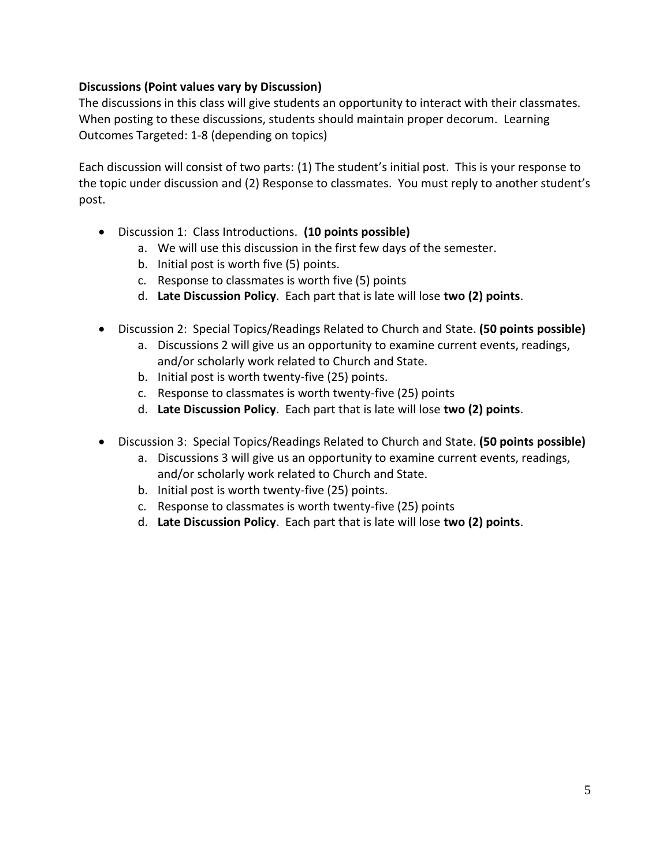# **Discussions (Point values vary by Discussion)**

The discussions in this class will give students an opportunity to interact with their classmates. When posting to these discussions, students should maintain proper decorum. Learning Outcomes Targeted: 1-8 (depending on topics)

Each discussion will consist of two parts: (1) The student's initial post. This is your response to the topic under discussion and (2) Response to classmates. You must reply to another student's post.

- Discussion 1: Class Introductions. **(10 points possible)**
	- a. We will use this discussion in the first few days of the semester.
	- b. Initial post is worth five (5) points.
	- c. Response to classmates is worth five (5) points
	- d. **Late Discussion Policy**. Each part that is late will lose **two (2) points**.
- Discussion 2: Special Topics/Readings Related to Church and State. **(50 points possible)**
	- a. Discussions 2 will give us an opportunity to examine current events, readings, and/or scholarly work related to Church and State.
	- b. Initial post is worth twenty-five (25) points.
	- c. Response to classmates is worth twenty-five (25) points
	- d. **Late Discussion Policy**. Each part that is late will lose **two (2) points**.
- Discussion 3: Special Topics/Readings Related to Church and State. **(50 points possible)**
	- a. Discussions 3 will give us an opportunity to examine current events, readings, and/or scholarly work related to Church and State.
	- b. Initial post is worth twenty-five (25) points.
	- c. Response to classmates is worth twenty-five (25) points
	- d. **Late Discussion Policy**. Each part that is late will lose **two (2) points**.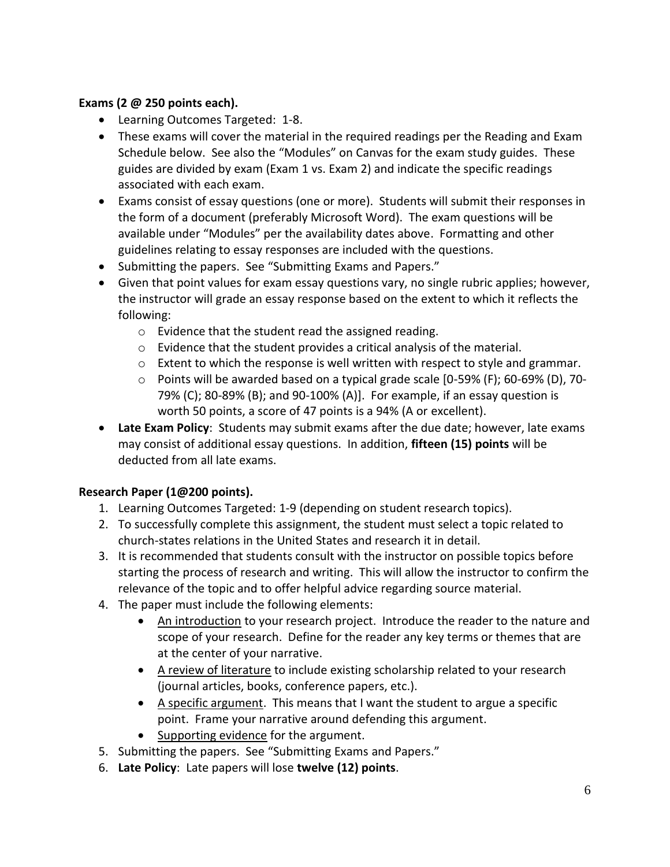# **Exams (2 @ 250 points each).**

- Learning Outcomes Targeted: 1-8.
- These exams will cover the material in the required readings per the Reading and Exam Schedule below. See also the "Modules" on Canvas for the exam study guides. These guides are divided by exam (Exam 1 vs. Exam 2) and indicate the specific readings associated with each exam.
- Exams consist of essay questions (one or more). Students will submit their responses in the form of a document (preferably Microsoft Word). The exam questions will be available under "Modules" per the availability dates above. Formatting and other guidelines relating to essay responses are included with the questions.
- Submitting the papers. See "Submitting Exams and Papers."
- Given that point values for exam essay questions vary, no single rubric applies; however, the instructor will grade an essay response based on the extent to which it reflects the following:
	- o Evidence that the student read the assigned reading.
	- o Evidence that the student provides a critical analysis of the material.
	- $\circ$  Extent to which the response is well written with respect to style and grammar.
	- o Points will be awarded based on a typical grade scale [0-59% (F); 60-69% (D), 70- 79% (C); 80-89% (B); and 90-100% (A)]. For example, if an essay question is worth 50 points, a score of 47 points is a 94% (A or excellent).
- **Late Exam Policy**:Students may submit exams after the due date; however, late exams may consist of additional essay questions. In addition, **fifteen (15) points** will be deducted from all late exams.

# **Research Paper (1@200 points).**

- 1. Learning Outcomes Targeted: 1-9 (depending on student research topics).
- 2. To successfully complete this assignment, the student must select a topic related to church-states relations in the United States and research it in detail.
- 3. It is recommended that students consult with the instructor on possible topics before starting the process of research and writing. This will allow the instructor to confirm the relevance of the topic and to offer helpful advice regarding source material.
- 4. The paper must include the following elements:
	- An introduction to your research project. Introduce the reader to the nature and scope of your research. Define for the reader any key terms or themes that are at the center of your narrative.
	- A review of literature to include existing scholarship related to your research (journal articles, books, conference papers, etc.).
	- A specific argument. This means that I want the student to argue a specific point. Frame your narrative around defending this argument.
	- Supporting evidence for the argument.
- 5. Submitting the papers. See "Submitting Exams and Papers."
- 6. **Late Policy**: Late papers will lose **twelve (12) points**.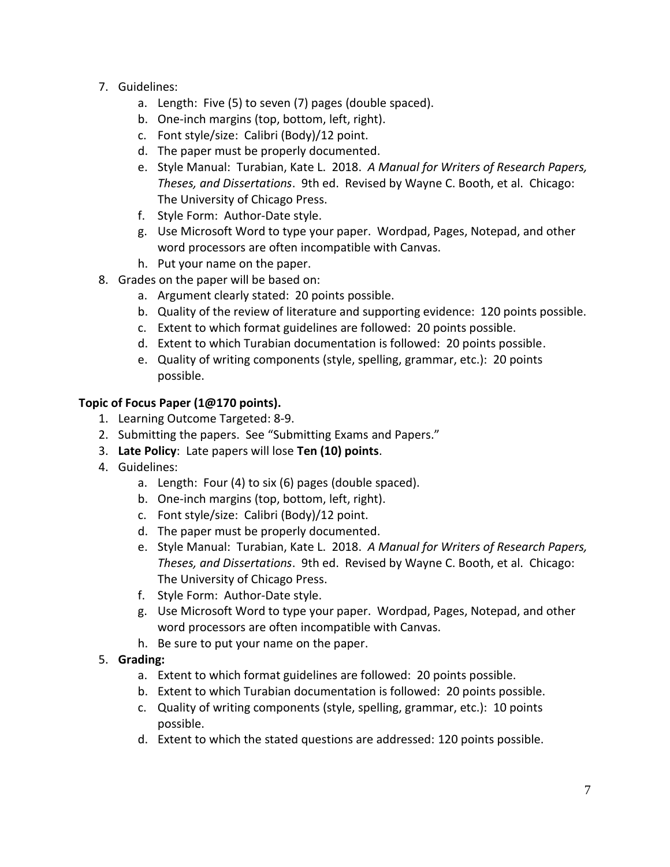- 7. Guidelines:
	- a. Length: Five (5) to seven (7) pages (double spaced).
	- b. One-inch margins (top, bottom, left, right).
	- c. Font style/size: Calibri (Body)/12 point.
	- d. The paper must be properly documented.
	- e. Style Manual: Turabian, Kate L. 2018. *A Manual for Writers of Research Papers, Theses, and Dissertations*. 9th ed. Revised by Wayne C. Booth, et al. Chicago: The University of Chicago Press.
	- f. Style Form: Author-Date style.
	- g. Use Microsoft Word to type your paper. Wordpad, Pages, Notepad, and other word processors are often incompatible with Canvas.
	- h. Put your name on the paper.
- 8. Grades on the paper will be based on:
	- a. Argument clearly stated: 20 points possible.
	- b. Quality of the review of literature and supporting evidence: 120 points possible.
	- c. Extent to which format guidelines are followed: 20 points possible.
	- d. Extent to which Turabian documentation is followed: 20 points possible.
	- e. Quality of writing components (style, spelling, grammar, etc.): 20 points possible.

# **Topic of Focus Paper (1@170 points).**

- 1. Learning Outcome Targeted: 8-9.
- 2. Submitting the papers. See "Submitting Exams and Papers."
- 3. **Late Policy**: Late papers will lose **Ten (10) points**.
- 4. Guidelines:
	- a. Length: Four (4) to six (6) pages (double spaced).
	- b. One-inch margins (top, bottom, left, right).
	- c. Font style/size: Calibri (Body)/12 point.
	- d. The paper must be properly documented.
	- e. Style Manual: Turabian, Kate L. 2018. *A Manual for Writers of Research Papers, Theses, and Dissertations*. 9th ed. Revised by Wayne C. Booth, et al. Chicago: The University of Chicago Press.
	- f. Style Form: Author-Date style.
	- g. Use Microsoft Word to type your paper. Wordpad, Pages, Notepad, and other word processors are often incompatible with Canvas.
	- h. Be sure to put your name on the paper.
- 5. **Grading:**
	- a. Extent to which format guidelines are followed: 20 points possible.
	- b. Extent to which Turabian documentation is followed: 20 points possible.
	- c. Quality of writing components (style, spelling, grammar, etc.): 10 points possible.
	- d. Extent to which the stated questions are addressed: 120 points possible.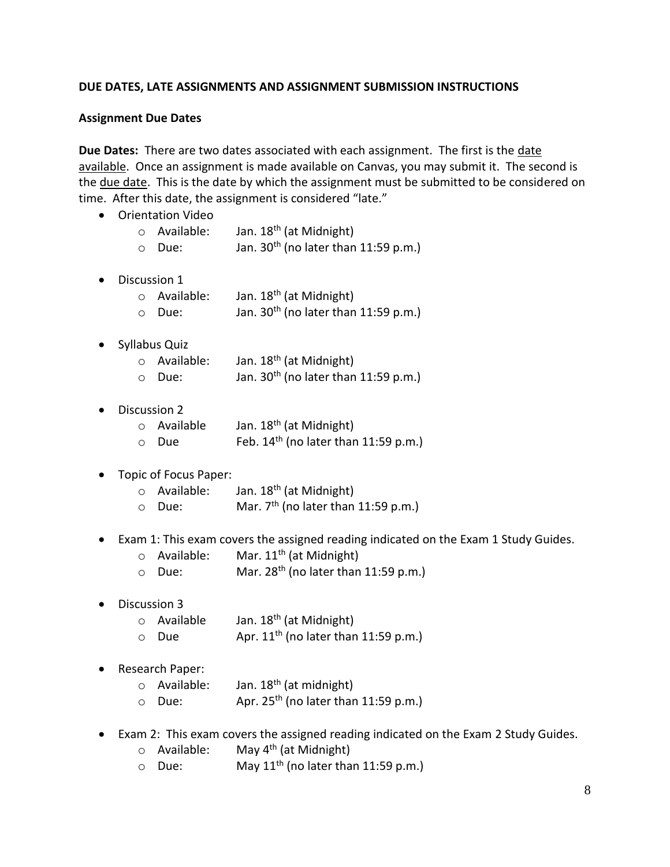#### **DUE DATES, LATE ASSIGNMENTS AND ASSIGNMENT SUBMISSION INSTRUCTIONS**

#### **Assignment Due Dates**

**Due Dates:** There are two dates associated with each assignment. The first is the date available. Once an assignment is made available on Canvas, you may submit it. The second is the due date. This is the date by which the assignment must be submitted to be considered on time. After this date, the assignment is considered "late."

- Orientation Video
	- $\circ$  Available: Jan. 18<sup>th</sup> (at Midnight)
	- $\circ$  Due: Jan. 30<sup>th</sup> (no later than 11:59 p.m.)
- Discussion 1
	- $\circ$  Available: Jan. 18<sup>th</sup> (at Midnight)  $\circ$  Due: Jan. 30<sup>th</sup> (no later than 11:59 p.m.)
- Syllabus Quiz

| o Available: | Jan. 18 <sup>th</sup> (at Midnight)              |
|--------------|--------------------------------------------------|
| o Due:       | Jan. 30 <sup>th</sup> (no later than 11:59 p.m.) |

• Discussion 2

| o Available | Jan. 18 <sup>th</sup> (at Midnight)    |
|-------------|----------------------------------------|
| ○ Due       | Feb. $14th$ (no later than 11:59 p.m.) |

- Topic of Focus Paper:
	- $\circ$  Available: Jan. 18<sup>th</sup> (at Midnight)
	- $\circ$  Due: Mar. 7<sup>th</sup> (no later than 11:59 p.m.)
- Exam 1: This exam covers the assigned reading indicated on the Exam 1 Study Guides.
	- $\circ$  Available: Mar. 11<sup>th</sup> (at Midnight)
	- $\circ$  Due: Mar. 28<sup>th</sup> (no later than 11:59 p.m.)
- Discussion 3
	- $\circ$  Available Jan. 18<sup>th</sup> (at Midnight)
	- $\circ$  Due Apr. 11<sup>th</sup> (no later than 11:59 p.m.)
- Research Paper:
	- $\circ$  Available: Jan. 18<sup>th</sup> (at midnight)
	- $\circ$  Due: Apr. 25<sup>th</sup> (no later than 11:59 p.m.)
- Exam 2: This exam covers the assigned reading indicated on the Exam 2 Study Guides.
	- $\circ$  Available: May 4<sup>th</sup> (at Midnight)
	- $\circ$  Due: May 11<sup>th</sup> (no later than 11:59 p.m.)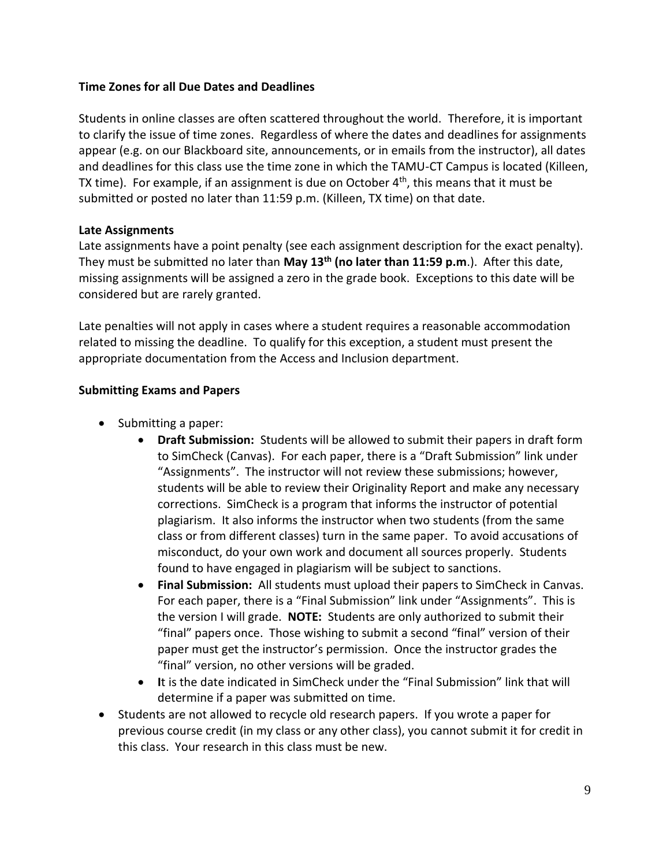#### **Time Zones for all Due Dates and Deadlines**

Students in online classes are often scattered throughout the world. Therefore, it is important to clarify the issue of time zones. Regardless of where the dates and deadlines for assignments appear (e.g. on our Blackboard site, announcements, or in emails from the instructor), all dates and deadlines for this class use the time zone in which the TAMU-CT Campus is located (Killeen, TX time). For example, if an assignment is due on October  $4<sup>th</sup>$ , this means that it must be submitted or posted no later than 11:59 p.m. (Killeen, TX time) on that date.

#### **Late Assignments**

Late assignments have a point penalty (see each assignment description for the exact penalty). They must be submitted no later than **May 13th (no later than 11:59 p.m**.). After this date, missing assignments will be assigned a zero in the grade book. Exceptions to this date will be considered but are rarely granted.

Late penalties will not apply in cases where a student requires a reasonable accommodation related to missing the deadline. To qualify for this exception, a student must present the appropriate documentation from the Access and Inclusion department.

#### **Submitting Exams and Papers**

- Submitting a paper:
	- **Draft Submission:** Students will be allowed to submit their papers in draft form to SimCheck (Canvas). For each paper, there is a "Draft Submission" link under "Assignments". The instructor will not review these submissions; however, students will be able to review their Originality Report and make any necessary corrections. SimCheck is a program that informs the instructor of potential plagiarism. It also informs the instructor when two students (from the same class or from different classes) turn in the same paper. To avoid accusations of misconduct, do your own work and document all sources properly. Students found to have engaged in plagiarism will be subject to sanctions.
	- **Final Submission:** All students must upload their papers to SimCheck in Canvas. For each paper, there is a "Final Submission" link under "Assignments". This is the version I will grade. **NOTE:** Students are only authorized to submit their "final" papers once. Those wishing to submit a second "final" version of their paper must get the instructor's permission. Once the instructor grades the "final" version, no other versions will be graded.
	- **I**t is the date indicated in SimCheck under the "Final Submission" link that will determine if a paper was submitted on time.
- Students are not allowed to recycle old research papers. If you wrote a paper for previous course credit (in my class or any other class), you cannot submit it for credit in this class. Your research in this class must be new.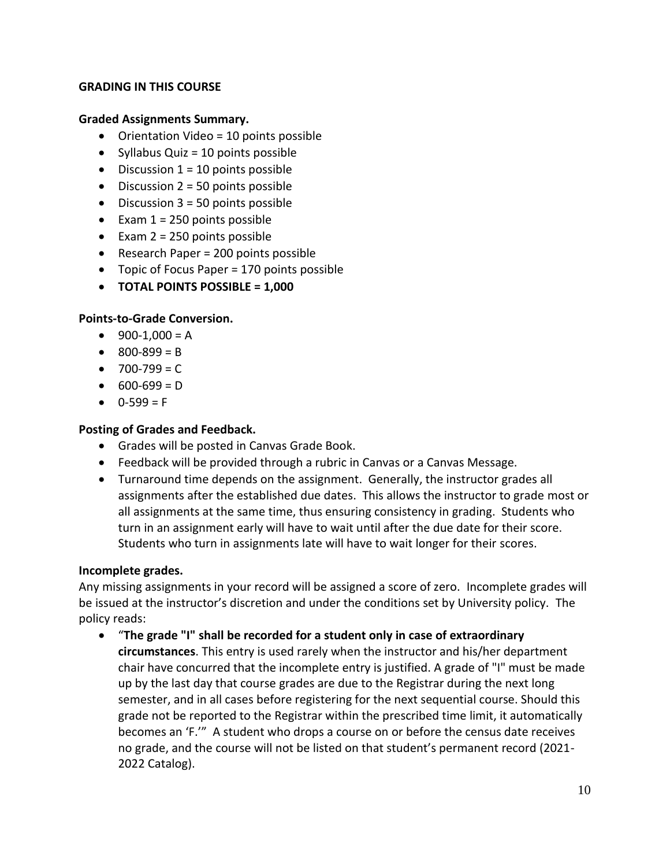#### **GRADING IN THIS COURSE**

#### **Graded Assignments Summary.**

- Orientation Video = 10 points possible
- Syllabus Quiz = 10 points possible
- $\bullet$  Discussion 1 = 10 points possible
- $\bullet$  Discussion 2 = 50 points possible
- $\bullet$  Discussion 3 = 50 points possible
- Exam  $1 = 250$  points possible
- Exam  $2 = 250$  points possible
- Research Paper = 200 points possible
- Topic of Focus Paper = 170 points possible
- **TOTAL POINTS POSSIBLE = 1,000**

#### **Points-to-Grade Conversion.**

- $\bullet$  900-1,000 = A
- $800-899 = B$
- $-700 799 = C$
- $600-699 = D$
- $0-599 = F$

#### **Posting of Grades and Feedback.**

- Grades will be posted in Canvas Grade Book.
- Feedback will be provided through a rubric in Canvas or a Canvas Message.
- Turnaround time depends on the assignment. Generally, the instructor grades all assignments after the established due dates. This allows the instructor to grade most or all assignments at the same time, thus ensuring consistency in grading. Students who turn in an assignment early will have to wait until after the due date for their score. Students who turn in assignments late will have to wait longer for their scores.

#### **Incomplete grades.**

Any missing assignments in your record will be assigned a score of zero.Incomplete grades will be issued at the instructor's discretion and under the conditions set by University policy.The policy reads:

 "**The grade "I" shall be recorded for a student only in case of extraordinary circumstances**. This entry is used rarely when the instructor and his/her department chair have concurred that the incomplete entry is justified. A grade of "I" must be made up by the last day that course grades are due to the Registrar during the next long semester, and in all cases before registering for the next sequential course. Should this grade not be reported to the Registrar within the prescribed time limit, it automatically becomes an 'F.'" A student who drops a course on or before the census date receives no grade, and the course will not be listed on that student's permanent record (2021- 2022 Catalog).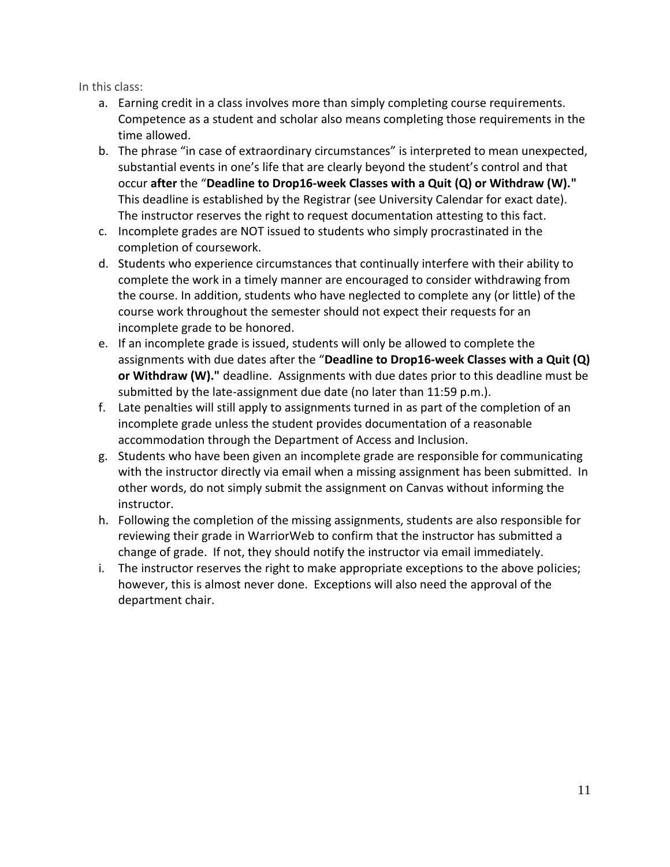In this class:

- a. Earning credit in a class involves more than simply completing course requirements. Competence as a student and scholar also means completing those requirements in the time allowed.
- b. The phrase "in case of extraordinary circumstances" is interpreted to mean unexpected, substantial events in one's life that are clearly beyond the student's control and that occur **after** the "**Deadline to Drop16-week Classes with a Quit (Q) or Withdraw (W)."** This deadline is established by the Registrar (see University Calendar for exact date). The instructor reserves the right to request documentation attesting to this fact.
- c. Incomplete grades are NOT issued to students who simply procrastinated in the completion of coursework.
- d. Students who experience circumstances that continually interfere with their ability to complete the work in a timely manner are encouraged to consider withdrawing from the course. In addition, students who have neglected to complete any (or little) of the course work throughout the semester should not expect their requests for an incomplete grade to be honored.
- e. If an incomplete grade is issued, students will only be allowed to complete the assignments with due dates after the "**Deadline to Drop16-week Classes with a Quit (Q) or Withdraw (W)."** deadline. Assignments with due dates prior to this deadline must be submitted by the late-assignment due date (no later than 11:59 p.m.).
- f. Late penalties will still apply to assignments turned in as part of the completion of an incomplete grade unless the student provides documentation of a reasonable accommodation through the Department of Access and Inclusion.
- g. Students who have been given an incomplete grade are responsible for communicating with the instructor directly via email when a missing assignment has been submitted. In other words, do not simply submit the assignment on Canvas without informing the instructor.
- h. Following the completion of the missing assignments, students are also responsible for reviewing their grade in WarriorWeb to confirm that the instructor has submitted a change of grade. If not, they should notify the instructor via email immediately.
- i. The instructor reserves the right to make appropriate exceptions to the above policies; however, this is almost never done. Exceptions will also need the approval of the department chair.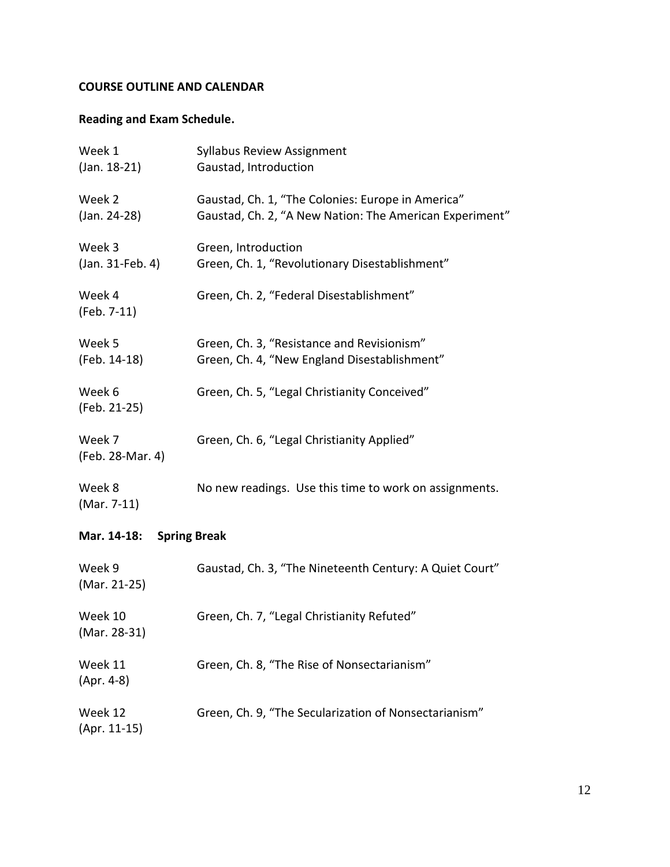# **COURSE OUTLINE AND CALENDAR**

# **Reading and Exam Schedule.**

| Week 1<br>$(Jan. 18-21)$           | <b>Syllabus Review Assignment</b><br>Gaustad, Introduction                                                   |  |  |  |
|------------------------------------|--------------------------------------------------------------------------------------------------------------|--|--|--|
| Week 2<br>(Jan. 24-28)             | Gaustad, Ch. 1, "The Colonies: Europe in America"<br>Gaustad, Ch. 2, "A New Nation: The American Experiment" |  |  |  |
| Week 3<br>(Jan. 31-Feb. 4)         | Green, Introduction<br>Green, Ch. 1, "Revolutionary Disestablishment"                                        |  |  |  |
| Week 4<br>(Feb. 7-11)              | Green, Ch. 2, "Federal Disestablishment"                                                                     |  |  |  |
| Week 5<br>(Feb. 14-18)             | Green, Ch. 3, "Resistance and Revisionism"<br>Green, Ch. 4, "New England Disestablishment"                   |  |  |  |
| Week 6<br>(Feb. 21-25)             | Green, Ch. 5, "Legal Christianity Conceived"                                                                 |  |  |  |
| Week 7<br>(Feb. 28-Mar. 4)         | Green, Ch. 6, "Legal Christianity Applied"                                                                   |  |  |  |
| Week 8<br>(Mar. 7-11)              | No new readings. Use this time to work on assignments.                                                       |  |  |  |
| <b>Spring Break</b><br>Mar. 14-18: |                                                                                                              |  |  |  |
| Week 9<br>(Mar. 21-25)             | Gaustad, Ch. 3, "The Nineteenth Century: A Quiet Court"                                                      |  |  |  |
| Week 10<br>(Mar. 28-31)            | Green, Ch. 7, "Legal Christianity Refuted"                                                                   |  |  |  |
| Week 11<br>$(Apr. 4-8)$            | Green, Ch. 8, "The Rise of Nonsectarianism"                                                                  |  |  |  |
| Week 12<br>$(Apr. 11-15)$          | Green, Ch. 9, "The Secularization of Nonsectarianism"                                                        |  |  |  |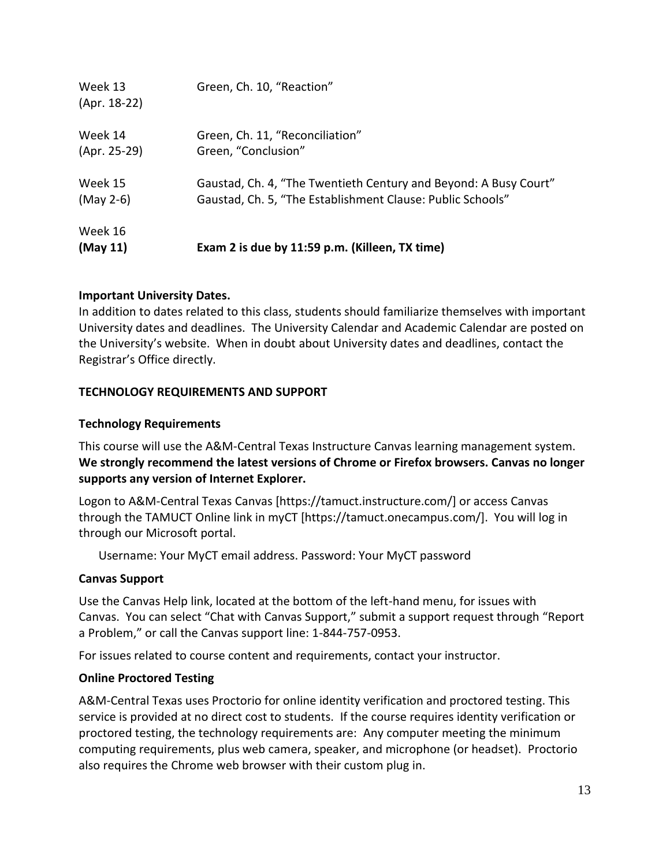| Week 13<br>(Apr. 18-22) | Green, Ch. 10, "Reaction"                                        |
|-------------------------|------------------------------------------------------------------|
| Week 14                 | Green, Ch. 11, "Reconciliation"                                  |
| (Apr. 25-29)            | Green, "Conclusion"                                              |
| Week 15                 | Gaustad, Ch. 4, "The Twentieth Century and Beyond: A Busy Court" |
| $(May 2-6)$             | Gaustad, Ch. 5, "The Establishment Clause: Public Schools"       |
| Week 16<br>(May 11)     | Exam 2 is due by 11:59 p.m. (Killeen, TX time)                   |

# **Important University Dates.**

In addition to dates related to this class, students should familiarize themselves with important University dates and deadlines. The University Calendar and Academic Calendar are posted on the University's website. When in doubt about University dates and deadlines, contact the Registrar's Office directly.

# **TECHNOLOGY REQUIREMENTS AND SUPPORT**

# **Technology Requirements**

This course will use the A&M-Central Texas Instructure Canvas learning management system. **We strongly recommend the latest versions of Chrome or Firefox browsers. Canvas no longer supports any version of Internet Explorer.**

Logon to A&M-Central Texas Canvas [https://tamuct.instructure.com/] or access Canvas through the TAMUCT Online link in myCT [https://tamuct.onecampus.com/]. You will log in through our Microsoft portal.

Username: Your MyCT email address. Password: Your MyCT password

# **Canvas Support**

Use the Canvas Help link, located at the bottom of the left-hand menu, for issues with Canvas. You can select "Chat with Canvas Support," submit a support request through "Report a Problem," or call the Canvas support line: 1-844-757-0953.

For issues related to course content and requirements, contact your instructor.

# **Online Proctored Testing**

A&M-Central Texas uses Proctorio for online identity verification and proctored testing. This service is provided at no direct cost to students. If the course requires identity verification or proctored testing, the technology requirements are: Any computer meeting the minimum computing requirements, plus web camera, speaker, and microphone (or headset). Proctorio also requires the Chrome web browser with their custom plug in.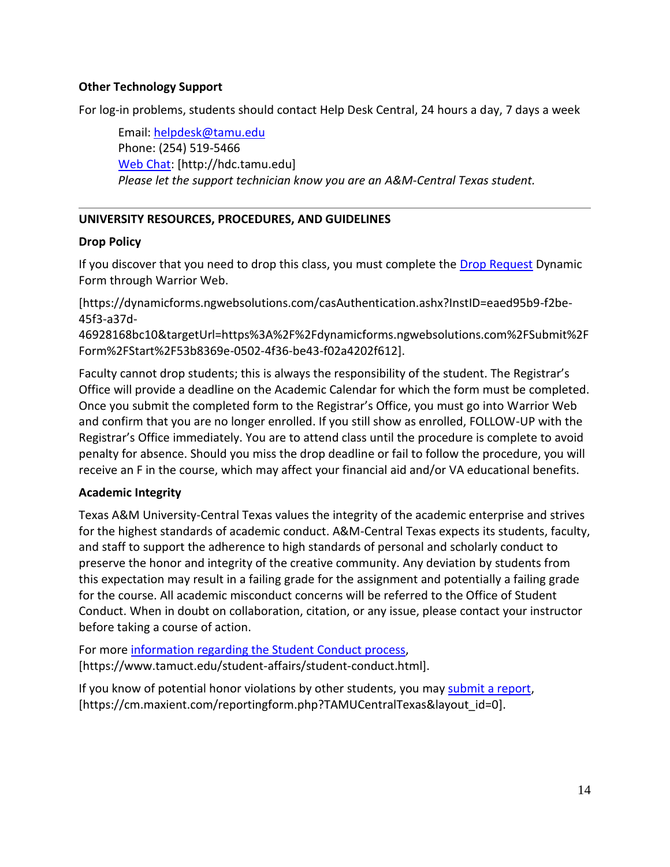#### **Other Technology Support**

For log-in problems, students should contact Help Desk Central, 24 hours a day, 7 days a week

Email: [helpdesk@tamu.edu](mailto:helpdesk@tamu.edu) Phone: (254) 519-5466 [Web Chat:](http://hdc.tamu.edu/) [http://hdc.tamu.edu] *Please let the support technician know you are an A&M-Central Texas student.*

# **UNIVERSITY RESOURCES, PROCEDURES, AND GUIDELINES**

#### **Drop Policy**

If you discover that you need to drop this class, you must complete the [Drop Request](https://dynamicforms.ngwebsolutions.com/casAuthentication.ashx?InstID=eaed95b9-f2be-45f3-a37d-46928168bc10&targetUrl=https%3A%2F%2Fdynamicforms.ngwebsolutions.com%2FSubmit%2FForm%2FStart%2F53b8369e-0502-4f36-be43-f02a4202f612) Dynamic Form through Warrior Web.

[https://dynamicforms.ngwebsolutions.com/casAuthentication.ashx?InstID=eaed95b9-f2be-45f3-a37d-

46928168bc10&targetUrl=https%3A%2F%2Fdynamicforms.ngwebsolutions.com%2FSubmit%2F Form%2FStart%2F53b8369e-0502-4f36-be43-f02a4202f612].

Faculty cannot drop students; this is always the responsibility of the student. The Registrar's Office will provide a deadline on the Academic Calendar for which the form must be completed. Once you submit the completed form to the Registrar's Office, you must go into Warrior Web and confirm that you are no longer enrolled. If you still show as enrolled, FOLLOW-UP with the Registrar's Office immediately. You are to attend class until the procedure is complete to avoid penalty for absence. Should you miss the drop deadline or fail to follow the procedure, you will receive an F in the course, which may affect your financial aid and/or VA educational benefits.

#### **Academic Integrity**

Texas A&M University-Central Texas values the integrity of the academic enterprise and strives for the highest standards of academic conduct. A&M-Central Texas expects its students, faculty, and staff to support the adherence to high standards of personal and scholarly conduct to preserve the honor and integrity of the creative community. Any deviation by students from this expectation may result in a failing grade for the assignment and potentially a failing grade for the course. All academic misconduct concerns will be referred to the Office of Student Conduct. When in doubt on collaboration, citation, or any issue, please contact your instructor before taking a course of action.

For more [information](https://nam04.safelinks.protection.outlook.com/?url=https%3A%2F%2Fwww.tamuct.edu%2Fstudent-affairs%2Fstudent-conduct.html&data=04%7C01%7Clisa.bunkowski%40tamuct.edu%7Ccfb6e486f24745f53e1a08d910055cb2%7C9eed4e3000f744849ff193ad8005acec%7C0%7C0%7C637558437485252160%7CUnknown%7CTWFpbGZsb3d8eyJWIjoiMC4wLjAwMDAiLCJQIjoiV2luMzIiLCJBTiI6Ik1haWwiLCJXVCI6Mn0%3D%7C1000&sdata=yjftDEVHvLX%2FhM%2FcFU0B99krV1RgEWR%2BJ%2BhvtoR6TYk%3D&reserved=0) regarding the Student Conduct process, [https://www.tamuct.edu/student-affairs/student-conduct.html].

If you know of potential honor violations by other students, you may [submit](https://nam04.safelinks.protection.outlook.com/?url=https%3A%2F%2Fcm.maxient.com%2Freportingform.php%3FTAMUCentralTexas%26layout_id%3D0&data=04%7C01%7Clisa.bunkowski%40tamuct.edu%7Ccfb6e486f24745f53e1a08d910055cb2%7C9eed4e3000f744849ff193ad8005acec%7C0%7C0%7C637558437485262157%7CUnknown%7CTWFpbGZsb3d8eyJWIjoiMC4wLjAwMDAiLCJQIjoiV2luMzIiLCJBTiI6Ik1haWwiLCJXVCI6Mn0%3D%7C1000&sdata=CXGkOa6uPDPX1IMZ87z3aZDq2n91xfHKu4MMS43Ejjk%3D&reserved=0) a report, [https://cm.maxient.com/reportingform.php?TAMUCentralTexas&layout\_id=0].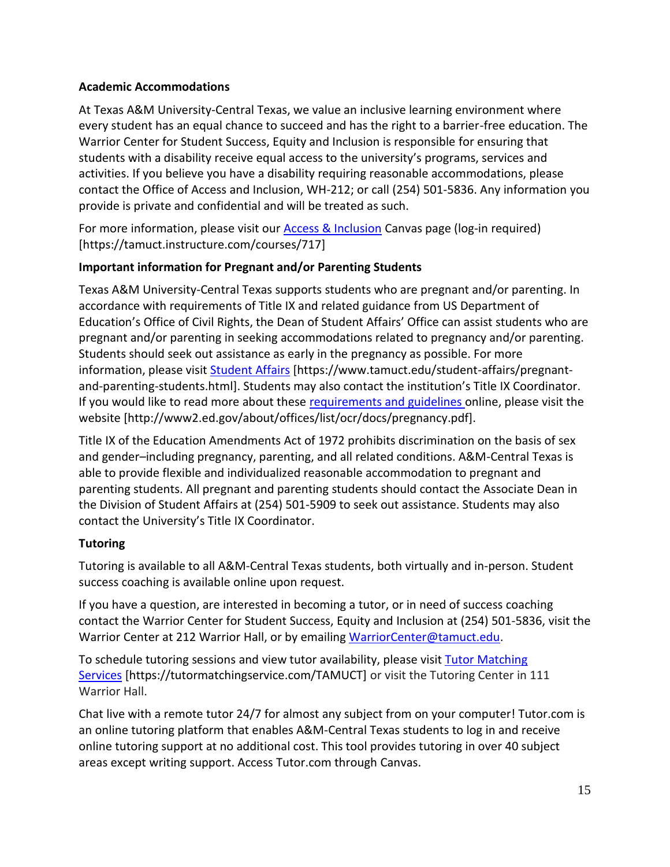# **Academic Accommodations**

At Texas A&M University-Central Texas, we value an inclusive learning environment where every student has an equal chance to succeed and has the right to a barrier-free education. The Warrior Center for Student Success, Equity and Inclusion is responsible for ensuring that students with a disability receive equal access to the university's programs, services and activities. If you believe you have a disability requiring reasonable accommodations, please contact the Office of Access and Inclusion, WH-212; or call (254) 501-5836. Any information you provide is private and confidential and will be treated as such.

For more information, please visit our **Access & Inclusion** Canvas page (log-in required) [https://tamuct.instructure.com/courses/717]

# **Important information for Pregnant and/or Parenting Students**

Texas A&M University-Central Texas supports students who are pregnant and/or parenting. In accordance with requirements of Title IX and related guidance from US Department of Education's Office of Civil Rights, the Dean of Student Affairs' Office can assist students who are pregnant and/or parenting in seeking accommodations related to pregnancy and/or parenting. Students should seek out assistance as early in the pregnancy as possible. For more information, please visit [Student Affairs](https://www.tamuct.edu/student-affairs/pregnant-and-parenting-students.html) [https://www.tamuct.edu/student-affairs/pregnantand-parenting-students.html]. Students may also contact the institution's Title IX Coordinator. If you would like to read more about these [requirements and guidelines](http://www2.ed.gov/about/offices/list/ocr/docs/pregnancy.pdf) online, please visit the website [http://www2.ed.gov/about/offices/list/ocr/docs/pregnancy.pdf].

Title IX of the Education Amendments Act of 1972 prohibits discrimination on the basis of sex and gender–including pregnancy, parenting, and all related conditions. A&M-Central Texas is able to provide flexible and individualized reasonable accommodation to pregnant and parenting students. All pregnant and parenting students should contact the Associate Dean in the Division of Student Affairs at (254) 501-5909 to seek out assistance. Students may also contact the University's Title IX Coordinator.

# **Tutoring**

Tutoring is available to all A&M-Central Texas students, both virtually and in-person. Student success coaching is available online upon request.

If you have a question, are interested in becoming a tutor, or in need of success coaching contact the Warrior Center for Student Success, Equity and Inclusion at (254) 501-5836, visit the Warrior Center at 212 Warrior Hall, or by emailing [WarriorCenter@tamuct.edu.](mailto:WarriorCenter@tamuct.edu)

To schedule tutoring sessions and view tutor availability, please visit Tutor [Matching](https://tutormatchingservice.com/TAMUCT) [Services](https://tutormatchingservice.com/TAMUCT) [https://tutormatchingservice.com/TAMUCT] or visit the Tutoring Center in 111 Warrior Hall.

Chat live with a remote tutor 24/7 for almost any subject from on your computer! Tutor.com is an online tutoring platform that enables A&M-Central Texas students to log in and receive online tutoring support at no additional cost. This tool provides tutoring in over 40 subject areas except writing support. Access Tutor.com through Canvas.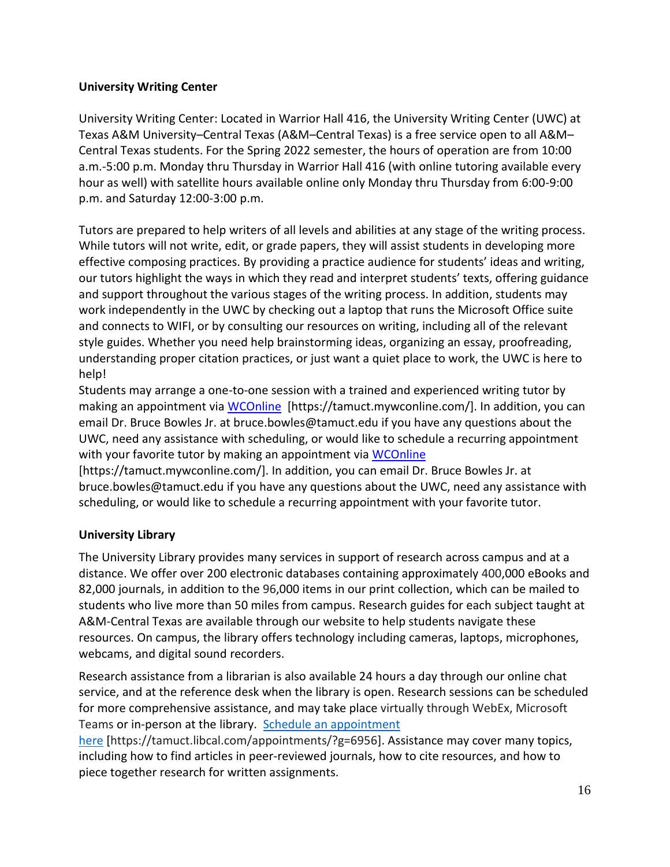## **University Writing Center**

University Writing Center: Located in Warrior Hall 416, the University Writing Center (UWC) at Texas A&M University–Central Texas (A&M–Central Texas) is a free service open to all A&M– Central Texas students. For the Spring 2022 semester, the hours of operation are from 10:00 a.m.-5:00 p.m. Monday thru Thursday in Warrior Hall 416 (with online tutoring available every hour as well) with satellite hours available online only Monday thru Thursday from 6:00-9:00 p.m. and Saturday 12:00-3:00 p.m.

Tutors are prepared to help writers of all levels and abilities at any stage of the writing process. While tutors will not write, edit, or grade papers, they will assist students in developing more effective composing practices. By providing a practice audience for students' ideas and writing, our tutors highlight the ways in which they read and interpret students' texts, offering guidance and support throughout the various stages of the writing process. In addition, students may work independently in the UWC by checking out a laptop that runs the Microsoft Office suite and connects to WIFI, or by consulting our resources on writing, including all of the relevant style guides. Whether you need help brainstorming ideas, organizing an essay, proofreading, understanding proper citation practices, or just want a quiet place to work, the UWC is here to help!

Students may arrange a one-to-one session with a trained and experienced writing tutor by making an appointment via [WCOnline](https://tamuct.mywconline.com/) [https://tamuct.mywconline.com/]. In addition, you can email Dr. Bruce Bowles Jr. at bruce.bowles@tamuct.edu if you have any questions about the UWC, need any assistance with scheduling, or would like to schedule a recurring appointment with your favorite tutor by making an appointment via [WCOnline](https://tamuct.mywconline.com/)

[https://tamuct.mywconline.com/]. In addition, you can email Dr. Bruce Bowles Jr. at bruce.bowles@tamuct.edu if you have any questions about the UWC, need any assistance with scheduling, or would like to schedule a recurring appointment with your favorite tutor.

#### **University Library**

The University Library provides many services in support of research across campus and at a distance. We offer over 200 electronic databases containing approximately 400,000 eBooks and 82,000 journals, in addition to the 96,000 items in our print collection, which can be mailed to students who live more than 50 miles from campus. Research guides for each subject taught at A&M-Central Texas are available through our website to help students navigate these resources. On campus, the library offers technology including cameras, laptops, microphones, webcams, and digital sound recorders.

Research assistance from a librarian is also available 24 hours a day through our online chat service, and at the reference desk when the library is open. Research sessions can be scheduled for more comprehensive assistance, and may take place virtually through WebEx, Microsoft Teams or in-person at the library. Schedule an [appointment](https://nam04.safelinks.protection.outlook.com/?url=https%3A%2F%2Ftamuct.libcal.com%2Fappointments%2F%3Fg%3D6956&data=04%7C01%7Clisa.bunkowski%40tamuct.edu%7Cde2c07d9f5804f09518008d9ab7ba6ff%7C9eed4e3000f744849ff193ad8005acec%7C0%7C0%7C637729369835011558%7CUnknown%7CTWFpbGZsb3d8eyJWIjoiMC4wLjAwMDAiLCJQIjoiV2luMzIiLCJBTiI6Ik1haWwiLCJXVCI6Mn0%3D%7C3000&sdata=KhtjgRSAw9aq%2FoBsB6wyu8b7PSuGN5EGPypzr3Ty2No%3D&reserved=0)

[here](https://nam04.safelinks.protection.outlook.com/?url=https%3A%2F%2Ftamuct.libcal.com%2Fappointments%2F%3Fg%3D6956&data=04%7C01%7Clisa.bunkowski%40tamuct.edu%7Cde2c07d9f5804f09518008d9ab7ba6ff%7C9eed4e3000f744849ff193ad8005acec%7C0%7C0%7C637729369835011558%7CUnknown%7CTWFpbGZsb3d8eyJWIjoiMC4wLjAwMDAiLCJQIjoiV2luMzIiLCJBTiI6Ik1haWwiLCJXVCI6Mn0%3D%7C3000&sdata=KhtjgRSAw9aq%2FoBsB6wyu8b7PSuGN5EGPypzr3Ty2No%3D&reserved=0) [https://tamuct.libcal.com/appointments/?g=6956]. Assistance may cover many topics, including how to find articles in peer-reviewed journals, how to cite resources, and how to piece together research for written assignments.